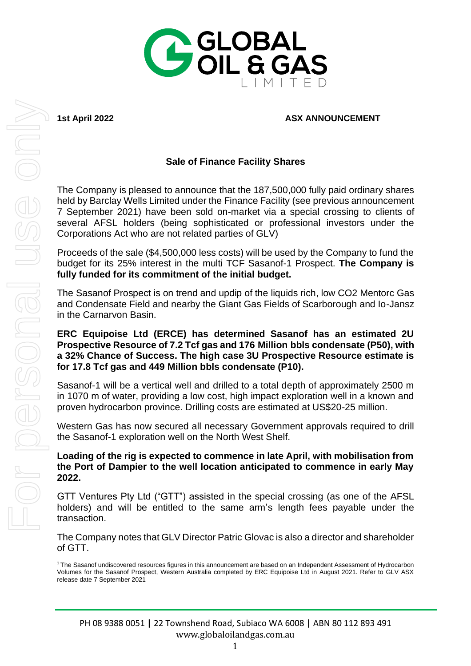

## **1st April 2022 ASX ANNOUNCEMENT**

## **Sale of Finance Facility Shares**

The Company is pleased to announce that the 187,500,000 fully paid ordinary shares held by Barclay Wells Limited under the Finance Facility (see previous announcement 7 September 2021) have been sold on-market via a special crossing to clients of several AFSL holders (being sophisticated or professional investors under the Corporations Act who are not related parties of GLV)

Proceeds of the sale (\$4,500,000 less costs) will be used by the Company to fund the budget for its 25% interest in the multi TCF Sasanof-1 Prospect. **The Company is fully funded for its commitment of the initial budget.**

The Sasanof Prospect is on trend and updip of the liquids rich, low CO2 Mentorc Gas and Condensate Field and nearby the Giant Gas Fields of Scarborough and Io-Jansz in the Carnarvon Basin.

## **ERC Equipoise Ltd (ERCE) has determined Sasanof has an estimated 2U Prospective Resource of 7.2 Tcf gas and 176 Million bbls condensate (P50), with a 32% Chance of Success. The high case 3U Prospective Resource estimate is for 17.8 Tcf gas and 449 Million bbls condensate (P10).**

Sasanof-1 will be a vertical well and drilled to a total depth of approximately 2500 m in 1070 m of water, providing a low cost, high impact exploration well in a known and proven hydrocarbon province. Drilling costs are estimated at US\$20-25 million.

Western Gas has now secured all necessary Government approvals required to drill the Sasanof-1 exploration well on the North West Shelf.

## **Loading of the rig is expected to commence in late April, with mobilisation from the Port of Dampier to the well location anticipated to commence in early May 2022.**

GTT Ventures Pty Ltd ("GTT") assisted in the special crossing (as one of the AFSL holders) and will be entitled to the same arm's length fees payable under the transaction.

The Company notes that GLV Director Patric Glovac is also a director and shareholder of GTT.

<sup>1</sup>The Sasanof undiscovered resources figures in this announcement are based on an Independent Assessment of Hydrocarbon Volumes for the Sasanof Prospect, Western Australia completed by ERC Equipoise Ltd in August 2021. Refer to GLV ASX release date 7 September 2021